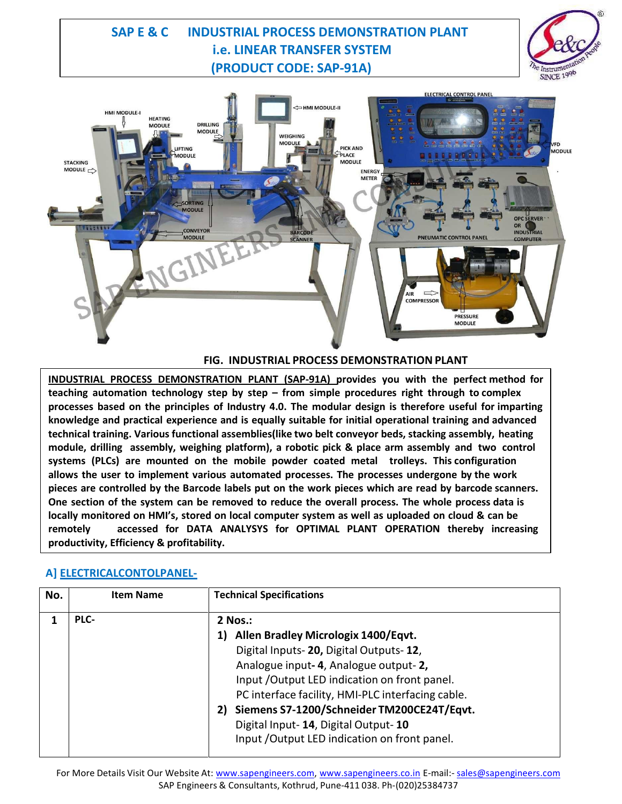## **SAP E & C INDUSTRIAL PROCESS DEMONSTRATION PLANT i.e. LINEAR TRANSFER SYSTEM (PRODUCT CODE: SAP-91A)**





#### **FIG. INDUSTRIAL PROCESS DEMONSTRATION PLANT**

**INDUSTRIAL PROCESS DEMONSTRATION PLANT (SAP-91A) provides you with the perfect method for teaching automation technology step by step – from simple procedures right through to complex processes based on the principles of Industry 4.0. The modular design is therefore useful for imparting knowledge and practical experience and is equally suitable for initial operational training and advanced technical training. Various functional assemblies(like two belt conveyor beds, stacking assembly, heating module, drilling assembly, weighing platform), a robotic pick & place arm assembly and two control systems (PLCs) are mounted on the mobile powder coated metal trolleys. This configuration allows the user to implement various automated processes. The processes undergone by the work** pieces are controlled by the Barcode labels put on the work pieces which are read by barcode scanners. **One section of the system can be removed to reduce the overall process. The whole process data is** locally monitored on HMI's, stored on local computer system as well as uploaded on cloud & can be **remotely accessed for DATA ANALYSYS for OPTIMAL PLANT OPERATION thereby increasing productivity, Efficiency & profitability.**

## **A] ELECTRICALCONTOLPANEL-**

| No. | <b>Item Name</b> | <b>Technical Specifications</b>                   |
|-----|------------------|---------------------------------------------------|
|     | PLC-             | 2 Nos.:                                           |
|     |                  | <b>Allen Bradley Micrologix 1400/Eqvt.</b>        |
|     |                  | Digital Inputs-20, Digital Outputs-12,            |
|     |                  | Analogue input-4, Analogue output-2,              |
|     |                  | Input / Output LED indication on front panel.     |
|     |                  | PC interface facility, HMI-PLC interfacing cable. |
|     |                  | 2) Siemens S7-1200/Schneider TM200CE24T/Eqvt.     |
|     |                  | Digital Input-14, Digital Output-10               |
|     |                  | Input /Output LED indication on front panel.      |
|     |                  |                                                   |

For More Details Visit Our Website At: www.sapengineers.com, www.sapengineers.co.in E-mail:- sales@sapengineers.com SAP Engineers & Consultants, Kothrud, Pune-411 038. Ph-(020)25384737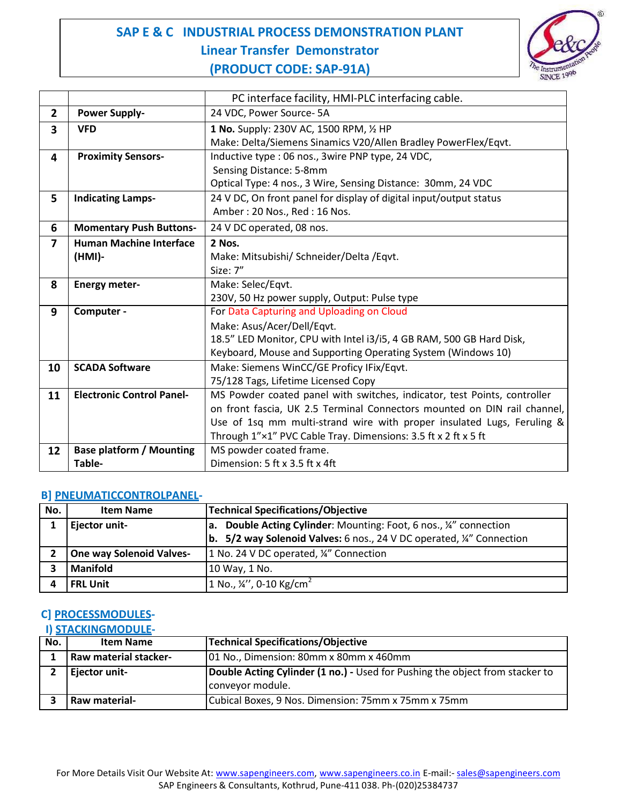

|                         |                                  | PC interface facility, HMI-PLC interfacing cable.                        |
|-------------------------|----------------------------------|--------------------------------------------------------------------------|
| $\overline{2}$          | <b>Power Supply-</b>             | 24 VDC, Power Source-5A                                                  |
| $\overline{\mathbf{3}}$ | <b>VFD</b>                       | 1 No. Supply: 230V AC, 1500 RPM, 1/2 HP                                  |
|                         |                                  | Make: Delta/Siemens Sinamics V20/Allen Bradley PowerFlex/Eqvt.           |
| 4                       | <b>Proximity Sensors-</b>        | Inductive type : 06 nos., 3wire PNP type, 24 VDC,                        |
|                         |                                  | Sensing Distance: 5-8mm                                                  |
|                         |                                  | Optical Type: 4 nos., 3 Wire, Sensing Distance: 30mm, 24 VDC             |
| 5                       | <b>Indicating Lamps-</b>         | 24 V DC, On front panel for display of digital input/output status       |
|                         |                                  | Amber: 20 Nos., Red: 16 Nos.                                             |
| 6                       | <b>Momentary Push Buttons-</b>   | 24 V DC operated, 08 nos.                                                |
| $\overline{7}$          | <b>Human Machine Interface</b>   | 2 Nos.                                                                   |
|                         | (HMI)-                           | Make: Mitsubishi/ Schneider/Delta / Eqvt.                                |
|                         |                                  | Size: 7"                                                                 |
| 8                       | <b>Energy meter-</b>             | Make: Selec/Eqvt.                                                        |
|                         |                                  | 230V, 50 Hz power supply, Output: Pulse type                             |
| 9                       | Computer -                       | For Data Capturing and Uploading on Cloud                                |
|                         |                                  | Make: Asus/Acer/Dell/Eqvt.                                               |
|                         |                                  | 18.5" LED Monitor, CPU with Intel i3/i5, 4 GB RAM, 500 GB Hard Disk,     |
|                         |                                  | Keyboard, Mouse and Supporting Operating System (Windows 10)             |
| 10                      | <b>SCADA Software</b>            | Make: Siemens WinCC/GE Proficy IFix/Eqvt.                                |
|                         |                                  | 75/128 Tags, Lifetime Licensed Copy                                      |
| 11                      | <b>Electronic Control Panel-</b> | MS Powder coated panel with switches, indicator, test Points, controller |
|                         |                                  | on front fascia, UK 2.5 Terminal Connectors mounted on DIN rail channel, |
|                         |                                  | Use of 1sq mm multi-strand wire with proper insulated Lugs, Feruling &   |
|                         |                                  | Through 1"×1" PVC Cable Tray. Dimensions: 3.5 ft x 2 ft x 5 ft           |
| 12                      | <b>Base platform / Mounting</b>  | MS powder coated frame.                                                  |
|                         | Table-                           | Dimension: 5 ft x 3.5 ft x 4ft                                           |

#### **B] PNEUMATICCONTROLPANEL-**

| No. | <b>Item Name</b>                | Technical Specifications/Objective                                                    |
|-----|---------------------------------|---------------------------------------------------------------------------------------|
|     | Ejector unit-                   | <b>a.</b> Double Acting Cylinder: Mounting: Foot, 6 nos., 1/4" connection             |
|     |                                 | <b>b.</b> 5/2 way Solenoid Valves: 6 nos., 24 V DC operated, $\frac{1}{4}$ Connection |
|     | <b>One way Solenoid Valves-</b> | 1 No. 24 V DC operated, ¼" Connection                                                 |
|     | <b>Manifold</b>                 | 10 Way, 1 No.                                                                         |
|     | <b>FRL Unit</b>                 | 1 No., $\frac{1}{4}$ , 0-10 Kg/cm <sup>2</sup>                                        |

## **C] PROCESSMODULES-**

**I) STACKINGMODULE-**

| No. | <b>Item Name</b>             | <b>Technical Specifications/Objective</b>                                    |
|-----|------------------------------|------------------------------------------------------------------------------|
|     | <b>Raw material stacker-</b> | 01 No., Dimension: 80mm x 80mm x 460mm                                       |
|     | Ejector unit-                | Double Acting Cylinder (1 no.) - Used for Pushing the object from stacker to |
|     |                              | conveyor module.                                                             |
|     | Raw material-                | Cubical Boxes, 9 Nos. Dimension: 75mm x 75mm x 75mm                          |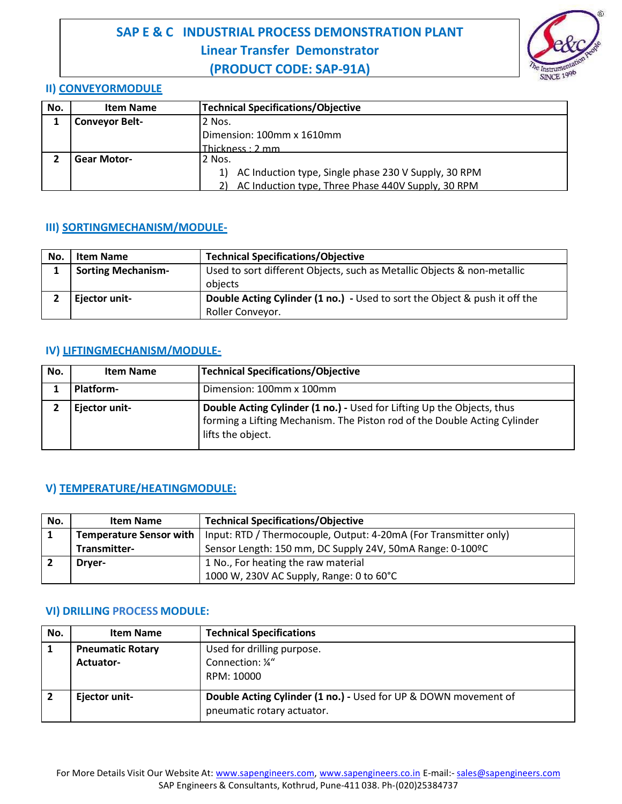

#### **II) CONVEYORMODULE**

| No. | <b>Item Name</b>      | <b>Technical Specifications/Objective</b>               |
|-----|-----------------------|---------------------------------------------------------|
|     | <b>Conveyor Belt-</b> | 2 Nos.                                                  |
|     |                       | Dimension: 100mm x 1610mm                               |
|     |                       | Thickness: 2 mm                                         |
|     | <b>Gear Motor-</b>    | 2 Nos.                                                  |
|     |                       | 1) AC Induction type, Single phase 230 V Supply, 30 RPM |
|     |                       | 2) AC Induction type, Three Phase 440V Supply, 30 RPM   |

## **III) SORTINGMECHANISM/MODULE-**

| No. | <b>Item Name</b>          | <b>Technical Specifications/Objective</b>                                         |
|-----|---------------------------|-----------------------------------------------------------------------------------|
|     | <b>Sorting Mechanism-</b> | Used to sort different Objects, such as Metallic Objects & non-metallic           |
|     |                           | obiects                                                                           |
|     | Ejector unit-             | <b>Double Acting Cylinder (1 no.)</b> - Used to sort the Object & push it off the |
|     |                           | Roller Conveyor.                                                                  |

## **IV) LIFTINGMECHANISM/MODULE-**

| No. | <b>Item Name</b> | <b>Technical Specifications/Objective</b>                                                                                                                                |
|-----|------------------|--------------------------------------------------------------------------------------------------------------------------------------------------------------------------|
|     | Platform-        | Dimension: 100mm x 100mm                                                                                                                                                 |
|     | Ejector unit-    | Double Acting Cylinder (1 no.) - Used for Lifting Up the Objects, thus<br>forming a Lifting Mechanism. The Piston rod of the Double Acting Cylinder<br>lifts the object. |

## **V) TEMPERATURE/HEATINGMODULE:**

| No. | <b>Item Name</b>               | <b>Technical Specifications/Objective</b>                        |
|-----|--------------------------------|------------------------------------------------------------------|
|     | <b>Temperature Sensor with</b> | Input: RTD / Thermocouple, Output: 4-20mA (For Transmitter only) |
|     | Transmitter-                   | Sensor Length: 150 mm, DC Supply 24V, 50mA Range: 0-100ºC        |
|     | <b>Drver-</b>                  | 1 No., For heating the raw material                              |
|     |                                | 1000 W, 230V AC Supply, Range: 0 to 60°C                         |

#### **VI) DRILLING PROCESS MODULE:**

| No. | <b>Item Name</b>        | <b>Technical Specifications</b>                                 |
|-----|-------------------------|-----------------------------------------------------------------|
|     | <b>Pneumatic Rotary</b> | Used for drilling purpose.                                      |
|     | Actuator-               | Connection: 1/4"                                                |
|     |                         | RPM: 10000                                                      |
|     |                         |                                                                 |
|     | Ejector unit-           | Double Acting Cylinder (1 no.) - Used for UP & DOWN movement of |
|     |                         | pneumatic rotary actuator.                                      |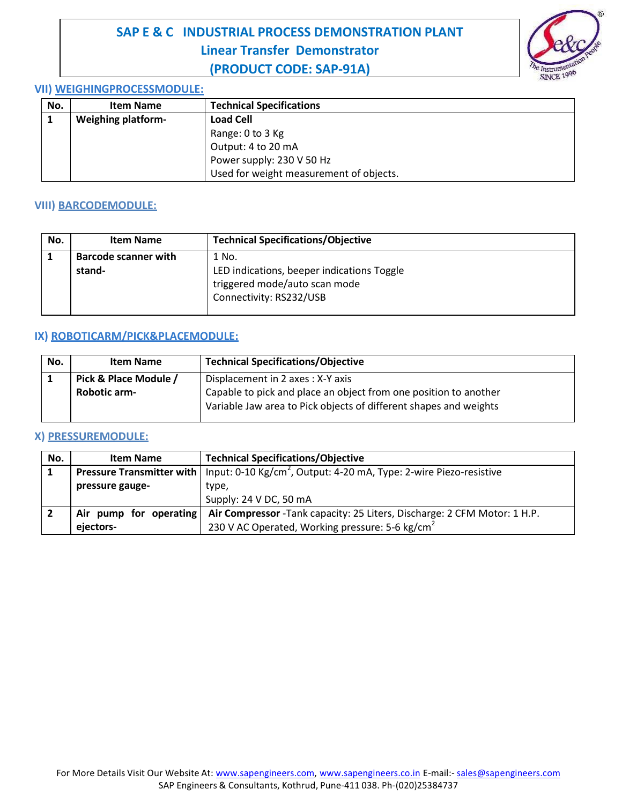

#### **VII) WEIGHINGPROCESSMODULE:**

| No. | <b>Item Name</b>          | <b>Technical Specifications</b>         |
|-----|---------------------------|-----------------------------------------|
|     | <b>Weighing platform-</b> | <b>Load Cell</b>                        |
|     |                           | Range: 0 to 3 Kg                        |
|     |                           | Output: 4 to 20 mA                      |
|     |                           | Power supply: 230 V 50 Hz               |
|     |                           | Used for weight measurement of objects. |

## **VIII) BARCODEMODULE:**

| No. | <b>Item Name</b>            | <b>Technical Specifications/Objective</b>  |
|-----|-----------------------------|--------------------------------------------|
|     | <b>Barcode scanner with</b> | 1 No.                                      |
|     | stand-                      | LED indications, beeper indications Toggle |
|     |                             | triggered mode/auto scan mode              |
|     |                             | Connectivity: RS232/USB                    |
|     |                             |                                            |

## **IX) ROBOTICARM/PICK&PLACEMODULE:**

| No. | <b>Item Name</b>      | <b>Technical Specifications/Objective</b>                                                                                             |
|-----|-----------------------|---------------------------------------------------------------------------------------------------------------------------------------|
|     | Pick & Place Module / | Displacement in 2 axes: X-Y axis                                                                                                      |
|     | <b>Robotic arm-</b>   | Capable to pick and place an object from one position to another<br>Variable Jaw area to Pick objects of different shapes and weights |

## **X) PRESSUREMODULE:**

| No. | <b>Item Name</b>       | <b>Technical Specifications/Objective</b>                                                                         |
|-----|------------------------|-------------------------------------------------------------------------------------------------------------------|
|     |                        | <b>Pressure Transmitter with</b>   Input: 0-10 Kg/cm <sup>2</sup> , Output: 4-20 mA, Type: 2-wire Piezo-resistive |
|     | pressure gauge-        | type,                                                                                                             |
|     |                        | Supply: 24 V DC, 50 mA                                                                                            |
|     | Air pump for operating | Air Compressor - Tank capacity: 25 Liters, Discharge: 2 CFM Motor: 1 H.P.                                         |
|     | ejectors-              | 230 V AC Operated, Working pressure: 5-6 kg/cm <sup>2</sup>                                                       |